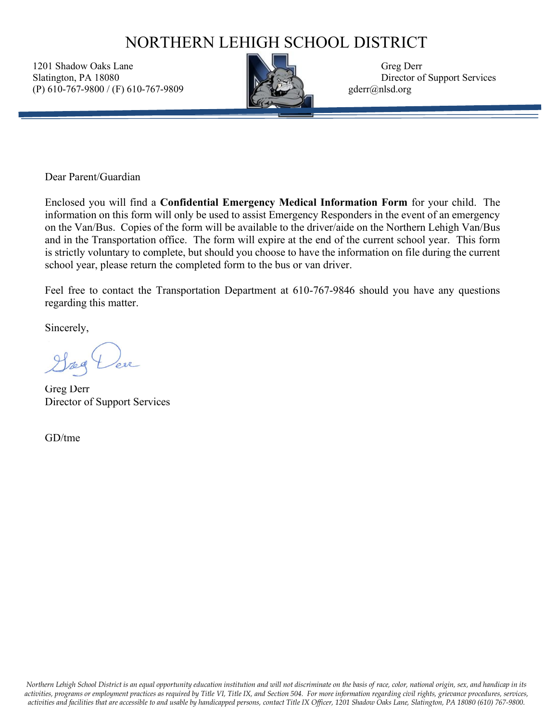## NORTHERN LEHIGH SCHOOL DISTRICT

1201 Shadow Oaks Lane Greg Derr Slatington, PA 18080 Director of Support Services (P) 610-767-9800 / (F) 610-767-9809 gderr@nlsd.org



Dear Parent/Guardian

Enclosed you will find a **Confidential Emergency Medical Information Form** for your child. The information on this form will only be used to assist Emergency Responders in the event of an emergency on the Van/Bus. Copies of the form will be available to the driver/aide on the Northern Lehigh Van/Bus and in the Transportation office. The form will expire at the end of the current school year. This form is strictly voluntary to complete, but should you choose to have the information on file during the current school year, please return the completed form to the bus or van driver.

Feel free to contact the Transportation Department at 610-767-9846 should you have any questions regarding this matter.

Sincerely,

red

Greg Derr Director of Support Services

GD/tme